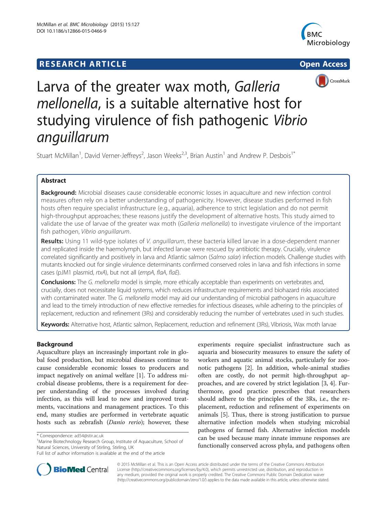## **RESEARCH ARTICLE Example 2014 The Contract of Contract Contract Contract Contract Contract Contract Contract Contract Contract Contract Contract Contract Contract Contract Contract Contract Contract Contract Contract Co**







# Larva of the greater wax moth, Galleria mellonella, is a suitable alternative host for studying virulence of fish pathogenic Vibrio<br>anguillarum

Stuart McMillan<sup>1</sup>, David Verner-Jeffreys<sup>2</sup>, Jason Weeks<sup>2,3</sup>, Brian Austin<sup>1</sup> and Andrew P. Desbois<sup>1\*</sup>

## Abstract

**Background:** Microbial diseases cause considerable economic losses in aquaculture and new infection control measures often rely on a better understanding of pathogenicity. However, disease studies performed in fish hosts often require specialist infrastructure (e.g., aquaria), adherence to strict legislation and do not permit high-throughput approaches; these reasons justify the development of alternative hosts. This study aimed to validate the use of larvae of the greater wax moth (Galleria mellonella) to investigate virulence of the important fish pathogen, Vibrio anguillarum.

Results: Using 11 wild-type isolates of V. anguillarum, these bacteria killed larvae in a dose-dependent manner and replicated inside the haemolymph, but infected larvae were rescued by antibiotic therapy. Crucially, virulence correlated significantly and positively in larva and Atlantic salmon (Salmo salar) infection models. Challenge studies with mutants knocked out for single virulence determinants confirmed conserved roles in larva and fish infections in some cases (pJM1 plasmid, rtxA), but not all (empA, flaA, flaE).

Conclusions: The G. mellonella model is simple, more ethically acceptable than experiments on vertebrates and, crucially, does not necessitate liquid systems, which reduces infrastructure requirements and biohazard risks associated with contaminated water. The G. mellonella model may aid our understanding of microbial pathogens in aquaculture and lead to the timely introduction of new effective remedies for infectious diseases, while adhering to the principles of replacement, reduction and refinement (3Rs) and considerably reducing the number of vertebrates used in such studies.

Keywords: Alternative host, Atlantic salmon, Replacement, reduction and refinement (3Rs), Vibriosis, Wax moth larvae

## Background

Aquaculture plays an increasingly important role in global food production, but microbial diseases continue to cause considerable economic losses to producers and impact negatively on animal welfare [\[1](#page-8-0)]. To address microbial disease problems, there is a requirement for deeper understanding of the processes involved during infection, as this will lead to new and improved treatments, vaccinations and management practices. To this end, many studies are performed in vertebrate aquatic hosts such as zebrafish (Danio rerio); however, these

<sup>1</sup>Marine Biotechnology Research Group, Institute of Aquaculture, School of Natural Sciences, University of Stirling, Stirling, UK

experiments require specialist infrastructure such as aquaria and biosecurity measures to ensure the safety of workers and aquatic animal stocks, particularly for zoonotic pathogens [\[2](#page-8-0)]. In addition, whole-animal studies often are costly, do not permit high-throughput approaches, and are covered by strict legislation [[3, 4\]](#page-8-0). Furthermore, good practice prescribes that researchers should adhere to the principles of the 3Rs, i.e., the replacement, reduction and refinement of experiments on animals [[5\]](#page-8-0). Thus, there is strong justification to pursue alternative infection models when studying microbial pathogens of farmed fish. Alternative infection models can be used because many innate immune responses are functionally conserved across phyla, and pathogens often



© 2015 McMillan et al. This is an Open Access article distributed under the terms of the Creative Commons Attribution License (<http://creativecommons.org/licenses/by/4.0>), which permits unrestricted use, distribution, and reproduction in any medium, provided the original work is properly credited. The Creative Commons Public Domain Dedication waiver [\(http://creativecommons.org/publicdomain/zero/1.0/](http://creativecommons.org/publicdomain/zero/1.0/)) applies to the data made available in this article, unless otherwise stated.

<sup>\*</sup> Correspondence: [ad54@stir.ac.uk](mailto:ad54@stir.ac.uk) <sup>1</sup>

Full list of author information is available at the end of the article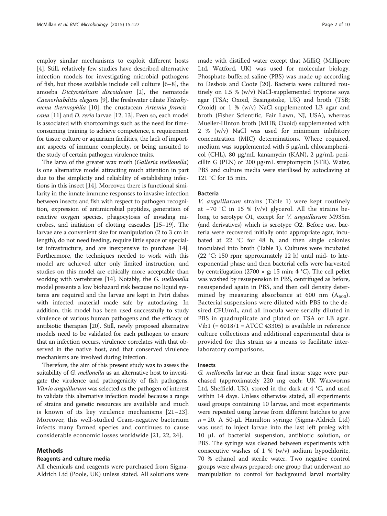employ similar mechanisms to exploit different hosts [[4\]](#page-8-0). Still, relatively few studies have described alternative infection models for investigating microbial pathogens of fish, but those available include cell culture [\[6](#page-8-0)–[8](#page-8-0)], the amoeba Dictyostelium discoideum [\[2](#page-8-0)], the nematode Caenorhabditis elegans [[9](#page-8-0)], the freshwater ciliate Tetrahymena thermophila [\[10\]](#page-8-0), the crustacean Artemia franciscana [[11\]](#page-8-0) and D. rerio larvae [\[12, 13](#page-8-0)]. Even so, each model is associated with shortcomings such as the need for timeconsuming training to achieve competence, a requirement for tissue culture or aquarium facilities, the lack of important aspects of immune complexity, or being unsuited to the study of certain pathogen virulence traits.

The larva of the greater wax moth (Galleria mellonella) is one alternative model attracting much attention in part due to the simplicity and reliability of establishing infections in this insect [\[14\]](#page-8-0). Moreover, there is functional similarity in the innate immune responses to invasive infection between insects and fish with respect to pathogen recognition, expression of antimicrobial peptides, generation of reactive oxygen species, phagocytosis of invading microbes, and initiation of clotting cascades [[15](#page-8-0)–[19\]](#page-8-0). The larvae are a convenient size for manipulation (2 to 3 cm in length), do not need feeding, require little space or specialist infrastructure, and are inexpensive to purchase [[14](#page-8-0)]. Furthermore, the techniques needed to work with this model are achieved after only limited instruction, and studies on this model are ethically more acceptable than working with vertebrates [\[14\]](#page-8-0). Notably, the G. mellonella model presents a low biohazard risk because no liquid systems are required and the larvae are kept in Petri dishes with infected material made safe by autoclaving. In addition, this model has been used successfully to study virulence of various human pathogens and the efficacy of antibiotic therapies [\[20\]](#page-8-0). Still, newly proposed alternative models need to be validated for each pathogen to ensure that an infection occurs, virulence correlates with that observed in the native host, and that conserved virulence mechanisms are involved during infection.

Therefore, the aim of this present study was to assess the suitability of G. mellonella as an alternative host to investigate the virulence and pathogenicity of fish pathogens. Vibrio anguillarum was selected as the pathogen of interest to validate this alternative infection model because a range of strains and genetic resources are available and much is known of its key virulence mechanisms [[21](#page-8-0)–[23](#page-8-0)]. Moreover, this well-studied Gram-negative bacterium infects many farmed species and continues to cause considerable economic losses worldwide [[21](#page-8-0), [22, 24](#page-8-0)].

## Methods

## Reagents and culture media

All chemicals and reagents were purchased from Sigma-Aldrich Ltd (Poole, UK) unless stated. All solutions were

made with distilled water except that MilliQ (Millipore Ltd, Watford, UK) was used for molecular biology. Phosphate-buffered saline (PBS) was made up according to Desbois and Coote [\[20](#page-8-0)]. Bacteria were cultured routinely on 1.5 % (w/v) NaCl-supplemented tryptone soya agar (TSA; Oxoid, Basingstoke, UK) and broth (TSB; Oxoid) or 1 % (w/v) NaCl-supplemented LB agar and broth (Fisher Scientific, Fair Lawn, NJ, USA), whereas Mueller-Hinton broth (MHB; Oxoid) supplemented with 2 % (w/v) NaCl was used for minimum inhibitory concentration (MIC) determinations. Where required, medium was supplemented with 5 μg/mL chloramphenicol (CHL), 80 μg/mL kanamycin (KAN), 2 μg/mL penicillin G (PEN) or 200 μg/mL streptomycin (STR). Water, PBS and culture media were sterilised by autoclaving at 121 °C for 15 min.

## Bacteria

V. anguillarum strains (Table [1\)](#page-2-0) were kept routinely at −70 °C in 15 % (v/v) glycerol. All the strains belong to serotype O1, except for V. anguillarum M93Sm (and derivatives) which is serotype O2. Before use, bacteria were recovered initially onto appropriate agar, incubated at 22 °C for 48 h, and then single colonies inoculated into broth (Table [1](#page-2-0)). Cultures were incubated (22 °C; 150 rpm; approximately 12 h) until mid- to lateexponential phase and then bacterial cells were harvested by centrifugation (2700  $\times$  g; 15 min; 4 °C). The cell pellet was washed by resuspension in PBS, centrifuged as before, resuspended again in PBS, and then cell density determined by measuring absorbance at 600 nm  $(A_{600})$ . Bacterial suspensions were diluted with PBS to the desired CFU/mL, and all inocula were serially diluted in PBS in quadruplicate and plated on TSA or LB agar. Vib1 (=  $6018/1$  = ATCC 43305) is available in reference culture collections and additional experimental data is provided for this strain as a means to facilitate interlaboratory comparisons.

## Insects

G. mellonella larvae in their final instar stage were purchased (approximately 220 mg each; UK Waxworms Ltd, Sheffield, UK), stored in the dark at 4 °C, and used within 14 days. Unless otherwise stated, all experiments used groups containing 10 larvae, and most experiments were repeated using larvae from different batches to give  $n = 20$ . A 50-µL Hamilton syringe (Sigma-Aldrich Ltd) was used to inject larvae into the last left proleg with 10 μL of bacterial suspension, antibiotic solution, or PBS. The syringe was cleaned between experiments with consecutive washes of  $1 \%$  (w/v) sodium hypochlorite, 70 % ethanol and sterile water. Two negative control groups were always prepared: one group that underwent no manipulation to control for background larval mortality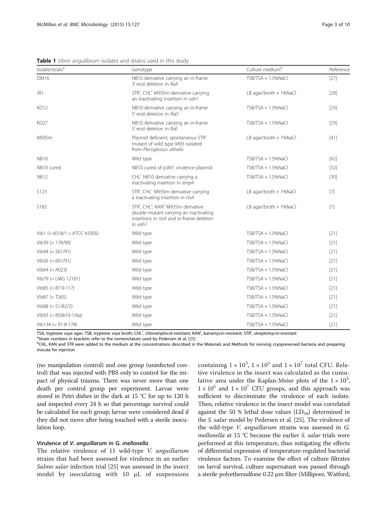<span id="page-2-0"></span>Table 1 Vibrio anguillarum isolates and strains used in this study

| Isolate/strain <sup>a</sup>    | Genotype                                                                                                                                                                                           | Culture medium <sup>b</sup> | Reference |
|--------------------------------|----------------------------------------------------------------------------------------------------------------------------------------------------------------------------------------------------|-----------------------------|-----------|
| <b>DM16</b>                    | NB10 derivative carrying an in-frame<br>3'-end deletion in flaA                                                                                                                                    | TSB/TSA + 1.5%NaCl          | $[27]$    |
| JR1                            | STR <sup>r</sup> , CHL <sup>r</sup> M93Sm derivative carrying<br>an inactivating insertion in vah1                                                                                                 | LB agar/broth + 1%NaCl      | $[28]$    |
| <b>KD12</b>                    | NB10 derivative carrying an in-frame<br>5'-end deletion in flaD                                                                                                                                    | $TSB/TSA + 1.5%NaCl$        | $[29]$    |
| <b>KD27</b>                    | NB10 derivative carrying an in-frame<br>5'-end deletion in flaE                                                                                                                                    | $TSB/TSA + 1.5\%$ NaCl      |           |
| M93Sm                          | Plasmid deficient; spontaneous STR <sup>r</sup><br>mutant of wild type M93 isolated<br>from Plecoglossus altivelis                                                                                 | LB agar/broth + 1%NaCl      | [41]      |
| <b>NB10</b>                    | Wild type                                                                                                                                                                                          | TSB/TSA + 1.5%NaCl          | $[42]$    |
| NB10 cured                     | NB10 cured of pJM1 virulence plasmid                                                                                                                                                               | $TSB/TSA + 1.5%NaCl$        | $[32]$    |
| <b>NB12</b>                    | CHL <sup>'</sup> NB10 derivative carrying a<br>inactivating insertion in empA                                                                                                                      | $TSB/TSA + 1.5%NaCl$        | $[30]$    |
| S <sub>123</sub>               | STR <sup>r</sup> , CHL <sup>r</sup> M93Sm derivative carrying<br>a inactivating insertion in rtxA                                                                                                  | LB agar/broth + 1%NaCl      | $[7]$     |
| S <sub>183</sub>               | STR <sup>r</sup> , CHL <sup>r</sup> , KAN <sup>r</sup> M93Sm derivative<br>LB agar/broth + 1%NaCl<br>double mutant carrying an inactivating<br>insertions in rtxA and in-frame deletion<br>in vah1 |                             | $[7]$     |
| Vib1 $(= 6018/1 = ATCC 43305)$ | Wild type                                                                                                                                                                                          | $TSB/TSA + 1.5\%$ NaCl      | $[21]$    |
| Vib39 $(= 178/90)$             | Wild type                                                                                                                                                                                          | $TSB/TSA + 1.5\%$ NaCl      | $[21]$    |
| $Vib44 (= 261/91)$             | Wild type                                                                                                                                                                                          | TSB/TSA + 1.5%NaCl          | $[21]$    |
| $Vib56 (= 601/91)$             | Wild type                                                                                                                                                                                          | TSB/TSA + 1.5%NaCl          | $[21]$    |
| $Vib64 (= A023)$               | Wild type                                                                                                                                                                                          | $TSB/TSA + 1.5\%$ NaCl      | $[21]$    |
| $Vib79 (= LMG 12101)$          | Wild type                                                                                                                                                                                          | $TSB/TSA + 1.5\%$ NaCl      | $[21]$    |
| $Vib85 (= 87-9-117)$           | Wild type                                                                                                                                                                                          | $TSB/TSA + 1.5%NaCl$        | $[21]$    |
| $Vib87 (= T265)$               | Wild type                                                                                                                                                                                          | TSB/TSA + 1.5%NaCl          | $[21]$    |
| Vib88 $(= 51/82/2)$            | Wild type                                                                                                                                                                                          | TSB/TSA + 1.5%NaCl          | $[21]$    |
| Vib93 (= $850610-1/6a$ )       | Wild type                                                                                                                                                                                          | TSB/TSA + 1.5%NaCl          | $[21]$    |
| $Vib134 (= 91-8-178)$          | Wild type                                                                                                                                                                                          | TSB/TSA + 1.5%NaCl          | $[21]$    |

TSA, tryptone soya agar; TSB, tryptone soya broth; CHL<sup>r</sup>, chloramphicol-resistant; KAN<sup>r</sup>, kanamycin-resistant; STR<sup>r</sup>, streptomycin-resistant<br><sup>ac</sup>train numbers in brackets refer to the nomenclature used by Pedersen et al

 $a$ Strain numbers in brackets refer to the nomenclature used by Pedersen et al. [[25](#page-8-0)]

<sup>b</sup>CHL, KAN and STR were added to the medium at the concentrations described in the Materials and Methods for reviving cryopreserved bacteria and preparing inocula for injection

(no manipulation control) and one group (uninfected control) that was injected with PBS only to control for the impact of physical trauma. There was never more than one death per control group per experiment. Larvae were stored in Petri dishes in the dark at 15 °C for up to 120 h and inspected every 24 h so that percentage survival could be calculated for each group; larvae were considered dead if they did not move after being touched with a sterile inoculation loop.

## Virulence of V. anguillarum in G. mellonella

The relative virulence of 11 wild-type V. anguillarum strains that had been assessed for virulence in an earlier Salmo salar infection trial [[25](#page-8-0)] was assessed in the insect model by inoculating with 10 μL of suspensions

containing  $1 \times 10^3$ ,  $1 \times 10^5$  and  $1 \times 10^7$  total CFU. Relative virulence in the insect was calculated as the cumulative area under the Kaplan-Meier plots of the  $1 \times 10^3$ ,  $1 \times 10^5$  and  $1 \times 10^7$  CFU groups, and this approach was sufficient to discriminate the virulence of each isolate. Then, relative virulence in the insect model was correlated against the 50 % lethal dose values  $(LD_{50})$  determined in the S. salar model by Pedersen et al. [\[25](#page-8-0)]. The virulence of the wild-type V. anguillarum strains was assessed in G. mellonella at 15 °C because the earlier S. salar trials were performed at this temperature, thus mitigating the effects of differential expression of temperature-regulated bacterial virulence factors. To examine the effect of culture filtrates on larval survival, culture supernatant was passed through a sterile polyethersulfone 0.22 μm filter (Millipore, Watford,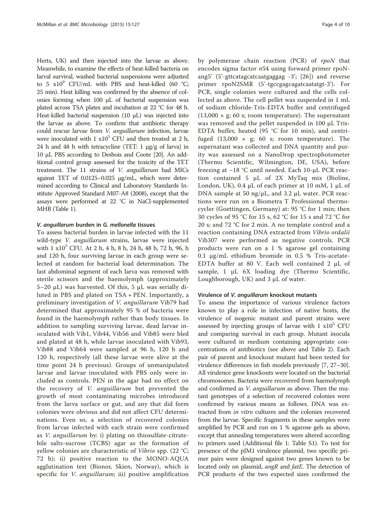Herts, UK) and then injected into the larvae as above. Meanwhile, to examine the effects of heat-killed bacteria on larval survival, washed bacterial suspensions were adjusted to 5  $x10^9$  CFU/mL with PBS and heat-killed (60 °C; 25 min). Heat killing was confirmed by the absence of colonies forming when 100 μL of bacterial suspension was plated across TSA plates and incubation at 22 °C for 48 h. Heat-killed bacterial suspension (10 μL) was injected into the larvae as above. To confirm that antibiotic therapy could rescue larvae from V. anguillarum infection, larvae were inoculated with  $1 \times 10^5$  CFU and then treated at 2 h, 24 h and 48 h with tetracycline (TET:  $1 \mu g/g$  of larva) in 10 μL PBS according to Desbois and Coote [\[20](#page-8-0)]. An additional control group assessed for the toxicity of the TET treatment. The 11 strains of V. anguillarum had MICs against TET of 0.0125–0.025 μg/mL, which were determined according to Clinical and Laboratory Standards Institute Approved Standard M07-A8 (2008), except that the assays were performed at 22 °C in NaCl-supplemented MHB (Table [1\)](#page-2-0).

## V. anguillarum burden in G. mellonella tissues

To assess bacterial burden in larvae infected with the 11 wild-type V. anguillarum strains, larvae were injected with  $1 \times 10^5$  CFU. At  $2$  h,  $4$  h,  $8$  h,  $24$  h,  $48$  h,  $72$  h,  $96$ , h and 120 h, four surviving larvae in each group were selected at random for bacterial load determination. The last abdominal segment of each larva was removed with sterile scissors and the haemolymph (approximately 5–20 μL) was harvested. Of this, 5 μL was serially diluted in PBS and plated on TSA + PEN. Importantly, a preliminary investigation of V. anguillarum Vib79 had determined that approximately 95 % of bacteria were found in the haemolymph rather than body tissues. In addition to sampling surviving larvae, dead larvae inoculated with Vib1, Vib44, Vib56 and Vib85 were bled and plated at 48 h, while larvae inoculated with Vib93, Vib88 and Vib64 were sampled at 96 h, 120 h and 120 h, respectively (all these larvae were alive at the time point 24 h previous). Groups of unmanipulated larvae and larvae inoculated with PBS only were included as controls. PEN in the agar had no effect on the recovery of V. anguillarum but prevented the growth of most contaminating microbes introduced from the larva surface or gut, and any that did form colonies were obvious and did not affect CFU determinations. Even so, a selection of recovered colonies from larvae infected with each strain were confirmed as V. anguillarum by: i) plating on thiosulfate-citratebile salts-sucrose (TCBS) agar as the formation of yellow colonies are characteristic of Vibrio spp. (22 °C; 72 h); ii) positive reaction to the MONO-AQUA agglutination test (Bionor, Skien, Norway), which is specific for *V. anguillarum*; iii) positive amplification by polymerase chain reaction (PCR) of rpoN that encodes sigma factor σ54 using forward primer rpoNang5' (5'-gttcatagcatcaatgaggag -3'; [[26\]](#page-8-0)) and reverse primer rpoN2SMR (5'-tgccgagcagatcaatatgt-3'). For PCR, single colonies were cultured and the cells collected as above. The cell pellet was suspended in 1 mL of sodium chloride-Tris-EDTA buffer and centrifuged  $(13,000 \times g; 60 s;$  room temperature). The supernatant was removed and the pellet suspended in 100 μL Tris-EDTA buffer, heated (95 °C for 10 min), and centrifuged  $(13,000 \times g; 60 s;$  room temperature). The supernatant was collected and DNA quantity and purity was assessed on a NanoDrop spectrophotometer (Thermo Scientific, Wilmington, DE, USA), before freezing at −18 °C until needed. Each 10-μL PCR reaction contained 5 μL of 2X MyTaq mix (Bioline, London, UK), 0.4 μL of each primer at 10 mM, 1 μL of DNA sample at 50 ng/μL, and 3.2 μL water. PCR reactions were run on a Biometra T Professional thermocycler (Goettingen, Germany) at: 95 °C for 1 min; then 30 cycles of 95 °C for 15 s, 62 °C for 15 s and 72 °C for 20 s; and 72 °C for 2 min. A no template control and a reaction containing DNA extracted from Vibrio ordalii Vib307 were performed as negative controls. PCR products were run on a 1 % agarose gel containing 0.1 μg/mL ethidium bromide in 0.5 % Tris-acetate-EDTA buffer at 80 V. Each well contained 2 μL of sample, 1 μL 6X loading dye (Thermo Scientific, Loughborough, UK) and 3 μL of water.

## Virulence of V. anguillarum knockout mutants

To assess the importance of various virulence factors known to play a role in infection of native hosts, the virulence of isogenic mutant and parent strains were assessed by injecting groups of larvae with  $1 \times 10^5$  CFU and comparing survival in each group. Mutant inocula were cultured in medium containing appropriate concentrations of antibiotics (see above and Table [2\)](#page-4-0). Each pair of parent and knockout mutant had been tested for virulence differences in fish models previously [\[7](#page-8-0), [27](#page-8-0)–[30](#page-8-0)]. All virulence gene knockouts were located on the bacterial chromosomes. Bacteria were recovered from haemolymph and confirmed as *V. anguillarum* as above. Then the mutant genotypes of a selection of recovered colonies were confirmed by various means as follows. DNA was extracted from in vitro cultures and the colonies recovered from the larvae. Specific fragments in these samples were amplified by PCR and run on 1 % agarose gels as above, except that annealing temperatures were altered according to primers used (Additional file [1:](#page-8-0) Table S1). To test for presence of the pJM1 virulence plasmid, two specific primer pairs were designed against two genes known to be located only on plasmid, angR and fatE. The detection of PCR products of the two expected sizes confirmed the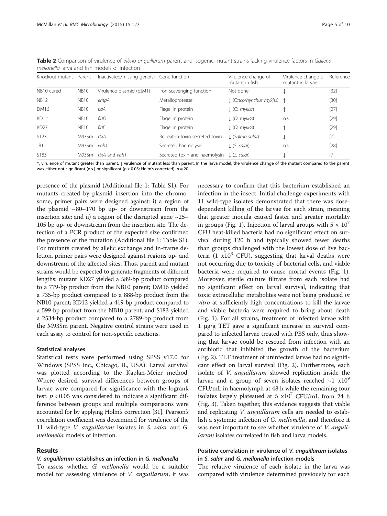| Knockout mutant Parent |             | Inactivated/missing gene(s) | Gene function                  | Virulence change of<br>mutant in fish | Virulence change of<br>mutant in larvae | Reference |
|------------------------|-------------|-----------------------------|--------------------------------|---------------------------------------|-----------------------------------------|-----------|
| NB10 cured             | <b>NB10</b> | Virulence plasmid (pJM1)    | Iron-scavenging function       | Not done                              |                                         | $[32]$    |
| <b>NB12</b>            | <b>NB10</b> | empA                        | Metalloprotease                | L (Oncorhynchus mykiss)               |                                         | $[30]$    |
| DM16                   | <b>NB10</b> | flaA                        | Flagellin protein              | $\downarrow$ (O. mykiss)              |                                         | [27]      |
| KD12                   | <b>NB10</b> | flaD                        | Flagellin protein              | $\downarrow$ (O. mykiss)              | n.s.                                    | $[29]$    |
| KD <sub>27</sub>       | <b>NB10</b> | flaF                        | Flagellin protein              | $\downarrow$ (O. mykiss)              |                                         | $[29]$    |
| S123                   | M93Sm rtxA  |                             | Repeat-in-toxin secreted toxin | $\perp$ (Salmo salar)                 |                                         | $[7]$     |
| JR1                    | M93Sm       | vah 1                       | Secreted haemolysin            | .l. (S. salar)                        | n.s.                                    | $[28]$    |
| S <sub>183</sub>       |             | M93Sm rtxA and vah1         | Secreted toxin and haemolysin  | (S. salar)                            |                                         | $[7]$     |
|                        |             |                             |                                |                                       |                                         |           |

<span id="page-4-0"></span>Table 2 Comparison of virulence of Vibrio anguillarum parent and isogenic mutant strains lacking virulence factors in Galleria mellonella larva and fish models of infection

↑, virulence of mutant greater than parent; ↓ virulence of mutant less than parent. In the larva model, the virulence change of the mutant compared to the parent was either not significant (n.s.) or significant ( $p < 0.05$ ; Holm's corrected).  $n = 20$ 

presence of the plasmid (Additional file [1](#page-8-0): Table S1). For mutants created by plasmid insertion into the chromosome, primer pairs were designed against: i) a region of the plasmid  $\sim 80-170$  bp up- or downstream from the insertion site; and ii) a region of the disrupted gene  $\sim$ 25– 105 bp up- or downstream from the insertion site. The detection of a PCR product of the expected size confirmed the presence of the mutation (Additional file [1:](#page-8-0) Table S1). For mutants created by allelic exchange and in-frame deletion, primer pairs were designed against regions up- and downstream of the affected sites. Thus, parent and mutant strains would be expected to generate fragments of different lengths: mutant KD27 yielded a 589-bp product compared to a 779-bp product from the NB10 parent; DM16 yielded a 735-bp product compared to a 888-bp product from the NB10 parent; KD12 yielded a 419-bp product compared to a 599-bp product from the NB10 parent; and S183 yielded a 2534-bp product compared to a 2789-bp product from the M93Sm parent. Negative control strains were used in each assay to control for non-specific reactions.

## Statistical analyses

Statistical tests were performed using SPSS v17.0 for Windows (SPSS Inc., Chicago, IL, USA). Larval survival was plotted according to the Kaplan-Meier method. Where desired, survival differences between groups of larvae were compared for significance with the logrank test.  $p < 0.05$  was considered to indicate a significant difference between groups and multiple comparisons were accounted for by applying Holm's correction [\[31\]](#page-8-0). Pearson's correlation coefficient was determined for virulence of the 11 wild-type V. anguillarum isolates in S. salar and G. mellonella models of infection.

## Results

## V. anguillarum establishes an infection in G. mellonella

To assess whether G. mellonella would be a suitable model for assessing virulence of V. anguillarum, it was

necessary to confirm that this bacterium established an infection in the insect. Initial challenge experiments with 11 wild-type isolates demonstrated that there was dosedependent killing of the larvae for each strain, meaning that greater inocula caused faster and greater mortality in groups (Fig. [1](#page-5-0)). Injection of larval groups with  $5 \times 10^{7}$ CFU heat-killed bacteria had no significant effect on survival during 120 h and typically showed fewer deaths than groups challenged with the lowest dose of live bacteria (1  $x10^3$  CFU), suggesting that larval deaths were not occurring due to toxicity of bacterial cells, and viable bacteria were required to cause mortal events (Fig. [1](#page-5-0)). Moreover, sterile culture filtrate from each isolate had no significant effect on larval survival, indicating that toxic extracellular metabolites were not being produced in vitro at sufficiently high concentrations to kill the larvae and viable bacteria were required to bring about death (Fig. [1\)](#page-5-0). For all strains, treatment of infected larvae with 1 μg/g TET gave a significant increase in survival compared to infected larvae treated with PBS only, thus showing that larvae could be rescued from infection with an antibiotic that inhibited the growth of the bacterium (Fig. [2](#page-5-0)). TET treatment of uninfected larvae had no significant effect on larval survival (Fig. [2\)](#page-5-0). Furthermore, each isolate of *V. anguillarum* showed replication inside the larvae and a group of seven isolates reached  $\sim$ 1 x10<sup>9</sup> CFU/mL in haemolymph at 48 h while the remaining four isolates largely plateaued at 5  $x10<sup>7</sup>$  CFU/mL from 24 h (Fig. [3](#page-6-0)). Taken together, this evidence suggests that viable and replicating *V. anguillarum* cells are needed to establish a systemic infection of G. mellonella, and therefore it was next important to see whether virulence of *V. anguil*larum isolates correlated in fish and larva models.

## Positive correlation in virulence of V. anguillarum isolates in S. salar and G. mellonella infection models

The relative virulence of each isolate in the larva was compared with virulence determined previously for each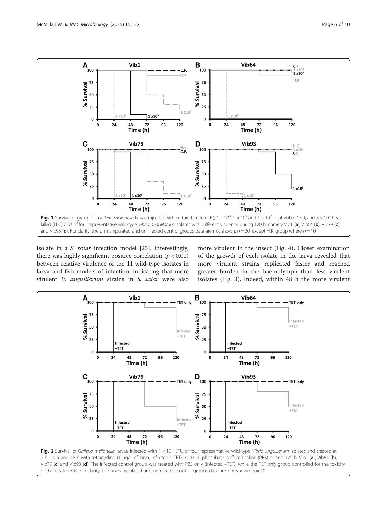<span id="page-5-0"></span>

isolate in a S. salar infection model [[25\]](#page-8-0). Interestingly, there was highly significant positive correlation ( $p < 0.01$ ) between relative virulence of the 11 wild-type isolates in larva and fish models of infection, indicating that more virulent V. anguillarum strains in S. salar were also more virulent in the insect (Fig. [4\)](#page-6-0). Closer examination of the growth of each isolate in the larva revealed that more virulent strains replicated faster and reached greater burden in the haemolymph than less virulent isolates (Fig. [3\)](#page-6-0). Indeed, within 48 h the more virulent



of the treatments. For clarity, the unmanipulated and uninfected control groups data are not shown.  $n = 10$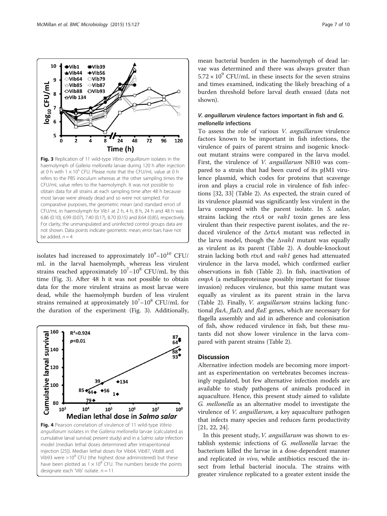isolates had increased to approximately  $10^9-10^{10}$  CFU/ mL in the larval haemolymph, whereas less virulent strains reached approximately  $10^{7}-10^{8}$  CFU/mL by this time (Fig. 3). After 48 h it was not possible to obtain data for the more virulent strains as most larvae were dead, while the haemolymph burden of less virulent strains remained at approximately  $10^{7}-10^{8}$  CFU/mL for the duration of the experiment (Fig. 3). Additionally,

not shown. Data points indicate geometric mean; error bars have not

be added.  $n = 4$ 



mean bacterial burden in the haemolymph of dead larvae was determined and there was always greater than  $5.72 \times 10^9$  CFU/mL in these insects for the seven strains and times examined, indicating the likely breaching of a burden threshold before larval death ensued (data not shown).

## V. anguillarum virulence factors important in fish and G. mellonella infections

To assess the role of various V. anguillarum virulence factors known to be important in fish infections, the virulence of pairs of parent strains and isogenic knockout mutant strains were compared in the larva model. First, the virulence of V. anguillarum NB10 was compared to a strain that had been cured of its pJM1 virulence plasmid, which codes for proteins that scavenge iron and plays a crucial role in virulence of fish infections [\[32](#page-8-0), [33\]](#page-8-0) (Table [2\)](#page-4-0). As expected, the strain cured of its virulence plasmid was significantly less virulent in the larva compared with the parent isolate. In S. salar, strains lacking the rtxA or vah1 toxin genes are less virulent than their respective parent isolates, and the reduced virulence of the ΔrtxA mutant was reflected in the larva model, though the  $\Delta$ vah1 mutant was equally as virulent as its parent (Table [2](#page-4-0)). A double-knockout strain lacking both rtxA and vah1 genes had attenuated virulence in the larva model, which confirmed earlier observations in fish (Table [2\)](#page-4-0). In fish, inactivation of empA (a metalloproteinase possibly important for tissue invasion) reduces virulence, but this same mutant was equally as virulent as its parent strain in the larva (Table [2\)](#page-4-0). Finally, V. anguillarum strains lacking functional flaA, flaD, and flaE genes, which are necessary for flagella assembly and aid in adherence and colonisation of fish, show reduced virulence in fish, but these mutants did not show lower virulence in the larva compared with parent strains (Table [2\)](#page-4-0).

## **Discussion**

Alternative infection models are becoming more important as experimentation on vertebrates becomes increasingly regulated, but few alternative infection models are available to study pathogens of animals produced in aquaculture. Hence, this present study aimed to validate G. mellonella as an alternative model to investigate the virulence of *V. anguillarum*, a key aquaculture pathogen that infects many species and reduces farm productivity [[21, 22, 24\]](#page-8-0).

In this present study, V. anguillarum was shown to establish systemic infections of G. mellonella larvae: the bacterium killed the larvae in a dose-dependent manner and replicated *in vivo*, while antibiotics rescued the insect from lethal bacterial inocula. The strains with greater virulence replicated to a greater extent inside the

<span id="page-6-0"></span>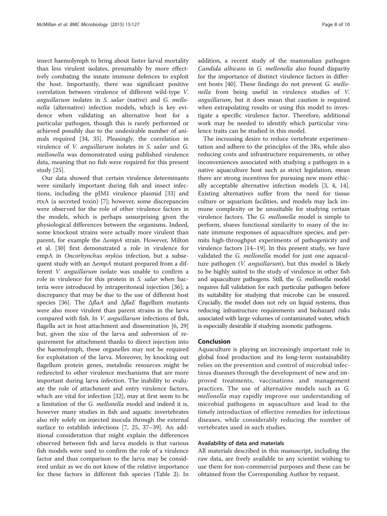insect haemolymph to bring about faster larval mortality than less virulent isolates, presumably by more effectively combating the innate immune defences to exploit the host. Importantly, there was significant positive correlation between virulence of different wild-type V. anguillarum isolates in S. salar (native) and G. mellonella (alternative) infection models, which is key evidence when validating an alternative host for a particular pathogen, though this is rarely performed or achieved possibly due to the undesirable number of animals required [\[34](#page-8-0), [35](#page-8-0)]. Pleasingly, the correlation in virulence of V. anguillarum isolates in S. salar and G. mellonella was demonstrated using published virulence data, meaning that no fish were required for this present study [[25\]](#page-8-0).

Our data showed that certain virulence determinants were similarly important during fish and insect infections, including the pJM1 virulence plasmid [\[33\]](#page-8-0) and rtxA (a secreted toxin) [\[7](#page-8-0)]; however, some discrepancies were observed for the role of other virulence factors in the models, which is perhaps unsurprising given the physiological differences between the organisms. Indeed, some knockout strains were actually more virulent than parent, for example the ΔempA strain. However, Milton et al. [\[30\]](#page-8-0) first demonstrated a role in virulence for empA in Oncorhynchus mykiss infection, but a subsequent study with an ΔempA mutant prepared from a different *V. anguillarum* isolate was unable to confirm a role in virulence for this protein in S. salar when bacteria were introduced by intraperitoneal injection [[36](#page-9-0)]; a discrepancy that may be due to the use of different host species [[36\]](#page-9-0). The  $\Delta$ flaA and  $\Delta$ flaE flagellum mutants were also more virulent than parent strains in the larva compared with fish. In V. anguillarum infections of fish, flagella act in host attachment and dissemination [\[6, 29](#page-8-0)] but, given the size of the larva and subversion of requirement for attachment thanks to direct injection into the haemolymph, these organelles may not be required for exploitation of the larva. Moreover, by knocking out flagellum protein genes, metabolic resources might be redirected to other virulence mechanisms that are more important during larva infection. The inability to evaluate the role of attachment and entry virulence factors, which are vital for infection [\[32](#page-8-0)], may at first seem to be a limitation of the G. mellonella model and indeed it is, however many studies in fish and aquatic invertebrates also rely solely on injected inocula through the external surface to establish infections [[7, 25](#page-8-0), [37](#page-9-0)–[39\]](#page-9-0). An additional consideration that might explain the differences observed between fish and larva models is that various fish models were used to confirm the role of a virulence factor and thus comparison to the larva may be considered unfair as we do not know of the relative importance for these factors in different fish species (Table [2\)](#page-4-0). In

addition, a recent study of the mammalian pathogen Candida albicans in G. mellonella also found disparity for the importance of distinct virulence factors in different hosts [[40\]](#page-9-0). These findings do not prevent G. mellonella from being useful in virulence studies of V. anguillarum, but it does mean that caution is required when extrapolating results or using this model to investigate a specific virulence factor. Therefore, additional work may be needed to identify which particular virulence traits can be studied in this model.

The increasing desire to reduce vertebrate experimentation and adhere to the principles of the 3Rs, while also reducing costs and infrastructure requirements, or other inconveniences associated with studying a pathogen in a native aquaculture host such as strict legislation, mean there are strong incentives for pursuing new more ethically acceptable alternative infection models [[3, 4, 14](#page-8-0)]. Existing alternatives suffer from the need for tissue culture or aquarium facilities, and models may lack immune complexity or be unsuitable for studying certain virulence factors. The G. mellonella model is simple to perform, shares functional similarity to many of the innate immune responses of aquaculture species, and permits high-throughput experiments of pathogenicity and virulence factors [\[14](#page-8-0)–[19](#page-8-0)]. In this present study, we have validated the G. mellonella model for just one aquaculture pathogen (V. anguillarum), but this model is likely to be highly suited to the study of virulence in other fish and aquaculture pathogens. Still, the G. mellonella model requires full validation for each particular pathogen before its suitability for studying that microbe can be ensured. Crucially, the model does not rely on liquid systems, thus reducing infrastructure requirements and biohazard risks associated with large volumes of contaminated water, which is especially desirable if studying zoonotic pathogens.

## Conclusion

Aquaculture is playing an increasingly important role in global food production and its long-term sustainability relies on the prevention and control of microbial infectious diseases through the development of new and improved treatments, vaccinations and management practices. The use of alternative models such as G. mellonella may rapidly improve our understanding of microbial pathogens in aquaculture and lead to the timely introduction of effective remedies for infectious diseases, while considerably reducing the number of vertebrates used in such studies.

## Availability of data and materials

All materials described in this manuscript, including the raw data, are freely available to any scientist wishing to use them for non-commercial purposes and these can be obtained from the Corresponding Author by request.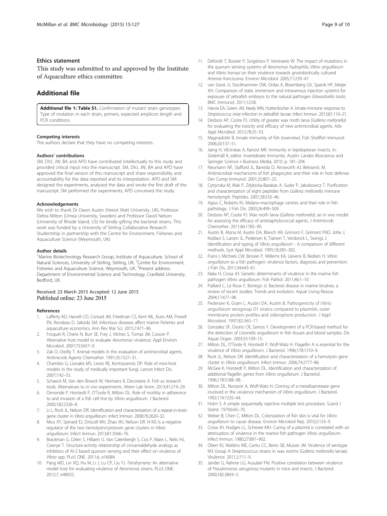## <span id="page-8-0"></span>Ethics statement

This study was submitted to and approved by the Institute of Aquaculture ethics committee.

## Additional file

[Additional file 1: Table S1.](http://www.biomedcentral.com/content/supplementary/s12866-015-0466-9-s1.docx) Confirmation of mutant strain genotypes: Type of mutation in each strain, primers, expected amplicon length and PCR conditions.

#### Competing interests

The authors declare that they have no competing interests.

#### Authors' contributions

SM, DVJ, JW, BA and APD have contributed intellectually to this study and provided critical input into the manuscript. SM, DVJ, JW, BA and APD have approved the final version of this manuscript and share responsibility and accountability for the data reported and its interpretation. APD and SM designed the experiments, analysed the data and wrote the first draft of the manuscript. SM performed the experiments; APD conceived the study.

#### Acknowledgements

We wish to thank Dr Dawn Austin (Heriot Watt University, UK), Professor Debra Milton (Umea University, Sweden) and Professor David Nelson (University of Rhode Island, US) for kindly gifting the bacterial strains. This work was funded by a University of Stirling Collaborative Research Studentship in partnership with the Centre for Environment, Fisheries and Aquaculture Science (Weymouth, UK).

#### Author details

<sup>1</sup>Marine Biotechnology Research Group, Institute of Aquaculture, School of Natural Sciences, University of Stirling, Stirling, UK. <sup>2</sup>Centre for Environment, Fisheries and Aquaculture Science, Weymouth, UK. <sup>3</sup>Present address: Department of Environmental Science and Technology, Cranfield University, Bedford, UK.

## Received: 23 March 2015 Accepted: 12 June 2015 Published online: 23 June 2015

#### References

- 1. Lafferty KD, Harvell CD, Conrad JM, Friedman CS, Kent ML, Kuris AM, Powell EN, Rondeau D, Saksida SM. Infectious diseases affect marine fisheries and aquaculture economics. Ann Rev Mar Sci. 2015;7:471–96.
- 2. Froquet R, Cherix N, Burr SE, Frey J, Vilches S, Tomas JM, Cosson P. Alternative host model to evaluate Aeromonas virulence. Appl Environ Microbiol. 2007;73:5657–9.
- 3. Zak O, Oreilly T. Animal models in the evaluation of antimicrobial agents. Antimicrob Agents Chemother. 1991;35:1527–31.
- 4. Chamilos G, Lionakis MS, Lewis RE, Kontoyiannis DP. Role of mini-host models in the study of medically important fungi. Lancet Infect Dis. 2007;7:42–55.
- Schaeck M, Van den Broeck W, Hermans K, Decostere A. Fish as research tools: Alternatives to in vivo experiments. Altern Lab Anim. 2013;41:219–29.
- 6. Ormonde P, Horstedt P, O'Toole R, Milton DL. Role of motility in adherence to and invasion of a fish cell line by Vibrio anguillarum. J Bacteriol. 2000;182:2326–8.
- 7. Li L, Rock JL, Nelson DR. Identification and characterization of a repeat-in-toxin gene cluster in Vibrio anguillarum. Infect Immun. 2008;76:2620–32.
- 8. Mou XY, Spinard EJ, Driscoll MV, Zhao WJ, Nelson DR. H-NS Is a negative regulator of the two hemolysin/cytotoxin gene clusters in Vibrio anguillarum. Infect Immun. 2013;81:3566–76.
- Brackman G, Celen S, Hillaert U, Van Calenbergh S, Cos P, Maes L, Nelis HJ, Coenye T. Structure-activity relationship of cinnamaldehyde analogs as inhibitors of AI-2 based quorum sensing and their effect on virulence of Vibrio spp. PLoS ONE. 2011;6, e16084.
- 10. Pang MD, Lin XQ, Hu M, Li J, Lu CP, Liu YJ. Tetrahymena: An alternative model host for evaluating virulence of Aeromonas strains. PLoS ONE. 2012;7, e48922.
- 11. Defoirdt T, Bossier P, Sorgeloos P, Verstraete W. The impact of mutations in the quorum sensing systems of Aeromonas hydrophila, Vibrio anguillarum
- and Vibrio harveyi on their virulence towards gnotobiotically cultured Artemia franciscana. Environ Microbiol. 2005;7:1239–47. 12. van Soest JJ, Stockhammer OW, Ordas A, Bloemberg GV, Spaink HP, Meijer AH. Comparison of static immersion and intravenous injection systems for exposure of zebrafish embryos to the natural pathogen Edwardsiella tarda.
- BMC Immunol. 2011;12:58. 13. Harvie EA, Green JM, Neely MN, Huttenlocher A. Innate immune response to
- Streptococcus iniae infection in zebrafish larvae. Infect Immun. 2013;81:110–21. 14. Desbois AP, Coote PJ. Utility of greater wax moth larva (Galleria mellonella) for evaluating the toxicity and efficacy of new antimicrobial agents. Adv Appl Microbiol. 2012;78:25–53.
- 15. Magnadottir B. Innate immunity of fish (overview). Fish Shellfish Immunol. 2006;20:137–51.
- 16. Jiang H, Vilcinskas A, Kanost MR. Immunity in lepidopteran insects. In: Söderhäll K, editor. Invertebrate Immunity. Austin: Landes Bioscience and Springer Science + Business Media; 2010. p. 181–204.
- 17. Neumann NF, Stafford JL, Barreda D, Ainsworth AJ, Belosevic M. Antimicrobial mechanisms of fish phagocytes and their role in host defense. Dev Comp Immunol. 2001;25:807–25.
- 18. Cytrynska M, Mak P, Zdybicka-Barabas A, Suder P, Jakubowicz T. Purification and characterization of eight peptides from Galleria mellonella immune hemolymph. Peptides. 2007;28:533–46.
- 19. Agius C, Roberts RJ. Melano-macrophage centres and their role in fish pathology. J Fish Dis. 2003;26:499–509.
- 20. Desbois AP, Coote PJ. Wax moth larva (Galleria mellonella): an in vivo model for assessing the efficacy of antistaphylococcal agents. J Antimicrob Chemother. 2011;66:1785–90.
- 21. Austin B, Alsina M, Austin DA, Blanch AR, Grimont F, Grimont PAD, Jofre J, Koblavi S, Larsen JL, Pedersen K, Tiainen T, Verdonck L, Swings J. Identification and typing of Vibrio anguillarum - A comparison of different methods. Syst Appl Microbiol. 1995;18:285–302.
- 22. Frans I, Michiels CW, Bossier P, Willems KA, Lievens B, Rediers H. Vibrio anguillarum as a fish pathogen: virulence factors, diagnosis and prevention. J Fish Dis. 2011;34:643–61.
- 23. Naka H, Crosa JH. Genetic determinants of virulence in the marine fish pathogen Vibrio anguillarum. Fish Pathol. 2011;46:1–10.
- 24. Paillard C, Le Roux F, Borrego JJ. Bacterial disease in marine bivalves, a review of recent studies: Trends and evolution. Aquat Living Resour. 2004;17:477–98.
- 25. Pedersen K, Gram L, Austin DA, Austin B. Pathogenicity of Vibrio anguillarum serogroup O1 strains compared to plasmids, outer membrane protein profiles and siderophore production. J Appl Microbiol. 1997;82:365–71.
- 26. Gonzalez SF, Osorio CR, Santos Y. Development of a PCR-based method for the detection of Listonella anguillarum in fish tissues and blood samples. Dis Aquat Organ. 2003;55:109–15.
- 27. Milton DL, O'Toole R, Horstedt P, Wolf-Watz H. Flagellin A is essential for the virulence of Vibrio anguillarum. J Bacteriol. 1996;178:1310-9.
- 28. Rock JL, Nelson DR. Identification and characterization of a hemolysin gene cluster in Vibrio anguillarum. Infect Immun. 2006;74:2777–86.
- 29. McGee K, Horstedt P, Milton DL. Identification and characterization of additional flagellin genes from Vibrio anguillarum. J Bacteriol. 1996;178:5188–98.
- 30. Milton DL, Norqvist A, Wolf-Watz H. Cloning of a metalloprotease gene involved in the virulence mechanism of Vibrio anguillarum. J Bacteriol. 1992;174:7235–44.
- 31. Holm S. A simple sequentially rejective multiple test procedure. Scand J Statist. 1979;6:65–70.
- 32. Weber B, Chen C, Milton DL. Colonization of fish skin is vital for Vibrio anguillarum to cause disease. Environ Microbiol Rep. 2010;2:133–9.
- 33. Crosa JH, Hodges LL, Schiewe MH. Curing of a plasmid is correlated with an attenuation of virulence in the marine fish pathogen Vibrio anguillarum. Infect Immun. 1980;27:897–902.
- 34. Olsen RJ, Watkins ME, Cantu CC, Beres SB, Musser JM. Virulence of serotype M3 Group A Streptococcus strains in wax worms (Galleria mellonella larvae). Virulence. 2011;2:111–9.
- 35. Jander G, Rahme LG, Ausubel FM. Positive correlation between virulence of Pseudomonas aeruginosa mutants in mice and insects. J Bacteriol. 2000;182:3843–5.